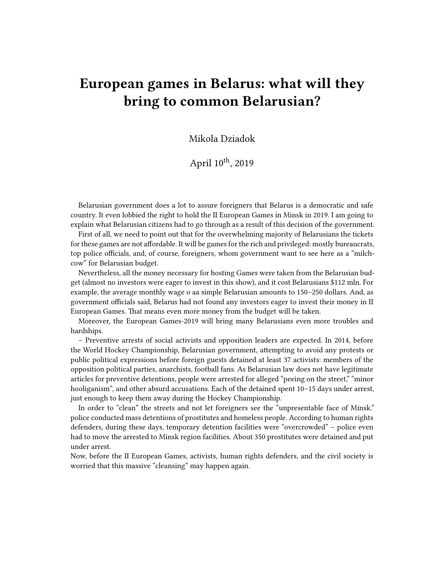## **European games in Belarus: what will they bring to common Belarusian?**

Mikola Dziadok

April  $10^{th}$ , 2019

Belarusian government does a lot to assure foreigners that Belarus is a democratic and safe country. It even lobbied the right to hold the II European Games in Minsk in 2019. I am going to explain what Belarusian citizens had to go through as a result of this decision of the government.

First of all, we need to point out that for the overwhelming majority of Belarusians the tickets for these games are not affordable. It will be games for the rich and privileged: mostly bureaucrats, top police officials, and, of course, foreigners, whom government want to see here as a "milchcow" for Belarusian budget.

Nevertheless, all the money necessary for hosting Games were taken from the Belarusian budget (almost no investors were eager to invest in this show), and it cost Belarusians \$112 mln. For example, the average monthly wage o аa simple Belarusian amounts to 150–250 dollars. And, as government officials said, Belarus had not found any investors eager to invest their money in II European Games. That means even more money from the budget will be taken.

Moreover, the European Games-2019 will bring many Belarusians even more troubles and hardships.

– Preventive arrests of social activists and opposition leaders are expected. In 2014, before the World Hockey Championship, Belarusian government, attempting to avoid any protests or public political expressions before foreign guests detained at least 37 activists: members of the opposition political parties, anarchists, football fans. As Belarusian law does not have legitimate articles for preventive detentions, people were arrested for alleged "peeing on the street," "minor hooliganism", and other absurd accusations. Each of the detained spent 10–15 days under arrest, just enough to keep them away during the Hockey Championship.

In order to "clean" the streets and not let foreigners see the "unpresentable face of Minsk." police conducted mass detentions of prostitutes and homeless people. According to human rights defenders, during these days, temporary detention facilities were "overcrowded" – police even had to move the arrested to Minsk region facilities. About 350 prostitutes were detained and put under arrest.

Now, before the II European Games, activists, human rights defenders, and the civil society is worried that this massive "cleansing" may happen again.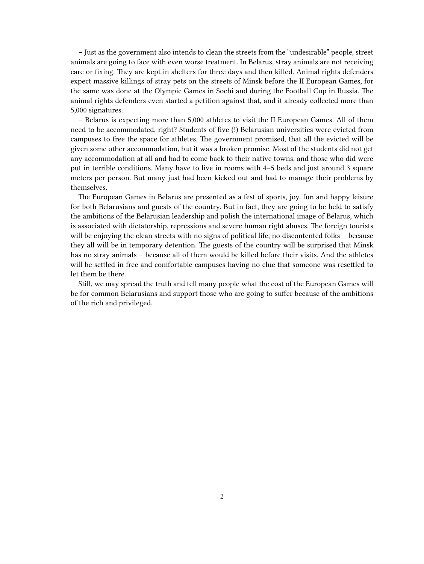– Just as the government also intends to clean the streets from the "undesirable" people, street animals are going to face with even worse treatment. In Belarus, stray animals are not receiving care or fixing. They are kept in shelters for three days and then killed. Animal rights defenders expect massive killings of stray pets on the streets of Minsk before the II European Games, for the same was done at the Olympic Games in Sochi and during the Football Cup in Russia. The animal rights defenders even started a petition against that, and it already collected more than 5,000 signatures.

– Belarus is expecting more than 5,000 athletes to visit the II European Games. All of them need to be accommodated, right? Students of five (!) Belarusian universities were evicted from campuses to free the space for athletes. The government promised, that all the evicted will be given some other accommodation, but it was a broken promise. Most of the students did not get any accommodation at all and had to come back to their native towns, and those who did were put in terrible conditions. Many have to live in rooms with 4–5 beds and just around 3 square meters per person. But many just had been kicked out and had to manage their problems by themselves.

The European Games in Belarus are presented as a fest of sports, joy, fun and happy leisure for both Belarusians and guests of the country. But in fact, they are going to be held to satisfy the ambitions of the Belarusian leadership and polish the international image of Belarus, which is associated with dictatorship, repressions and severe human right abuses. The foreign tourists will be enjoying the clean streets with no signs of political life, no discontented folks – because they all will be in temporary detention. The guests of the country will be surprised that Minsk has no stray animals – because all of them would be killed before their visits. And the athletes will be settled in free and comfortable campuses having no clue that someone was resettled to let them be there.

Still, we may spread the truth and tell many people what the cost of the European Games will be for common Belarusians and support those who are going to suffer because of the ambitions of the rich and privileged.